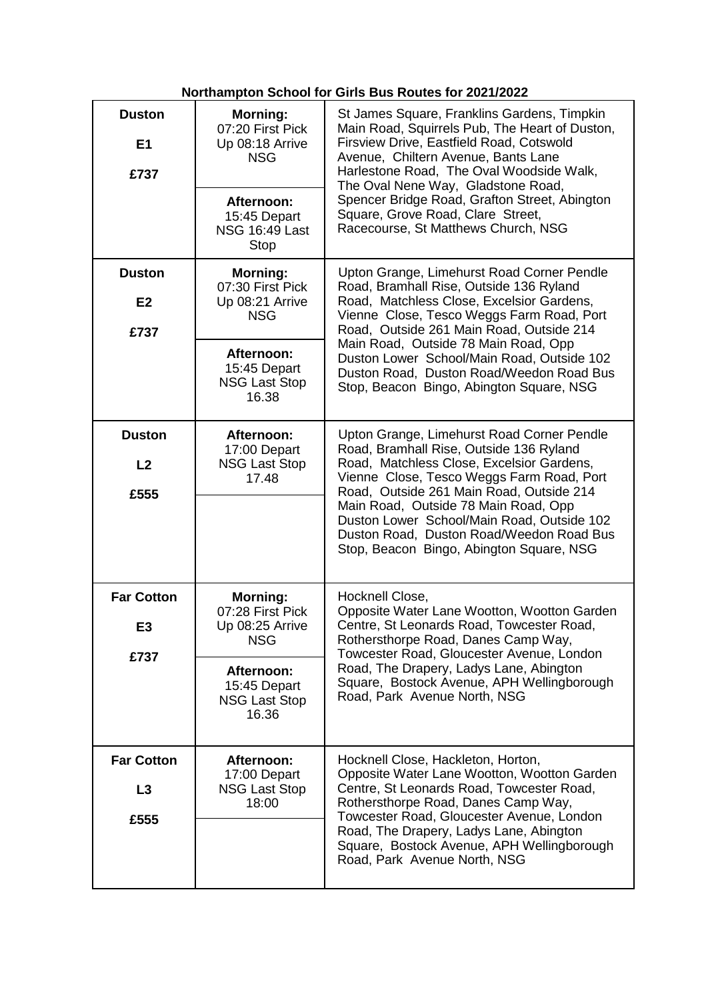## **Northampton School for Girls Bus Routes for 2021/2022**

| <b>Duston</b><br>E <sub>1</sub><br>£737 | <b>Morning:</b><br>07:20 First Pick<br>Up 08:18 Arrive<br><b>NSG</b><br>Afternoon:<br>15:45 Depart<br><b>NSG 16:49 Last</b><br><b>Stop</b> | St James Square, Franklins Gardens, Timpkin<br>Main Road, Squirrels Pub, The Heart of Duston,<br>Firsview Drive, Eastfield Road, Cotswold<br>Avenue, Chiltern Avenue, Bants Lane<br>Harlestone Road, The Oval Woodside Walk,<br>The Oval Nene Way, Gladstone Road,<br>Spencer Bridge Road, Grafton Street, Abington<br>Square, Grove Road, Clare Street,<br>Racecourse, St Matthews Church, NSG           |
|-----------------------------------------|--------------------------------------------------------------------------------------------------------------------------------------------|-----------------------------------------------------------------------------------------------------------------------------------------------------------------------------------------------------------------------------------------------------------------------------------------------------------------------------------------------------------------------------------------------------------|
| <b>Duston</b><br>E <sub>2</sub><br>£737 | <b>Morning:</b><br>07:30 First Pick<br>Up 08:21 Arrive<br><b>NSG</b><br>Afternoon:<br>15:45 Depart<br><b>NSG Last Stop</b><br>16.38        | Upton Grange, Limehurst Road Corner Pendle<br>Road, Bramhall Rise, Outside 136 Ryland<br>Road, Matchless Close, Excelsior Gardens,<br>Vienne Close, Tesco Weggs Farm Road, Port<br>Road, Outside 261 Main Road, Outside 214<br>Main Road, Outside 78 Main Road, Opp<br>Duston Lower School/Main Road, Outside 102<br>Duston Road, Duston Road/Weedon Road Bus<br>Stop, Beacon Bingo, Abington Square, NSG |
| <b>Duston</b><br>L <sub>2</sub><br>£555 | Afternoon:<br>17:00 Depart<br><b>NSG Last Stop</b><br>17.48                                                                                | Upton Grange, Limehurst Road Corner Pendle<br>Road, Bramhall Rise, Outside 136 Ryland<br>Road, Matchless Close, Excelsior Gardens,<br>Vienne Close, Tesco Weggs Farm Road, Port<br>Road, Outside 261 Main Road, Outside 214<br>Main Road, Outside 78 Main Road, Opp<br>Duston Lower School/Main Road, Outside 102<br>Duston Road, Duston Road/Weedon Road Bus<br>Stop, Beacon Bingo, Abington Square, NSG |
| <b>Far Cotton</b><br>E3<br>£737         | <b>Morning:</b><br>07:28 First Pick<br>Up 08:25 Arrive<br><b>NSG</b><br>Afternoon:<br>15:45 Depart<br><b>NSG Last Stop</b><br>16.36        | Hocknell Close,<br>Opposite Water Lane Wootton, Wootton Garden<br>Centre, St Leonards Road, Towcester Road,<br>Rothersthorpe Road, Danes Camp Way,<br>Towcester Road, Gloucester Avenue, London<br>Road, The Drapery, Ladys Lane, Abington<br>Square, Bostock Avenue, APH Wellingborough<br>Road, Park Avenue North, NSG                                                                                  |
| <b>Far Cotton</b><br>L3<br>£555         | Afternoon:<br>17:00 Depart<br><b>NSG Last Stop</b><br>18:00                                                                                | Hocknell Close, Hackleton, Horton,<br>Opposite Water Lane Wootton, Wootton Garden<br>Centre, St Leonards Road, Towcester Road,<br>Rothersthorpe Road, Danes Camp Way,<br>Towcester Road, Gloucester Avenue, London<br>Road, The Drapery, Ladys Lane, Abington<br>Square, Bostock Avenue, APH Wellingborough<br>Road, Park Avenue North, NSG                                                               |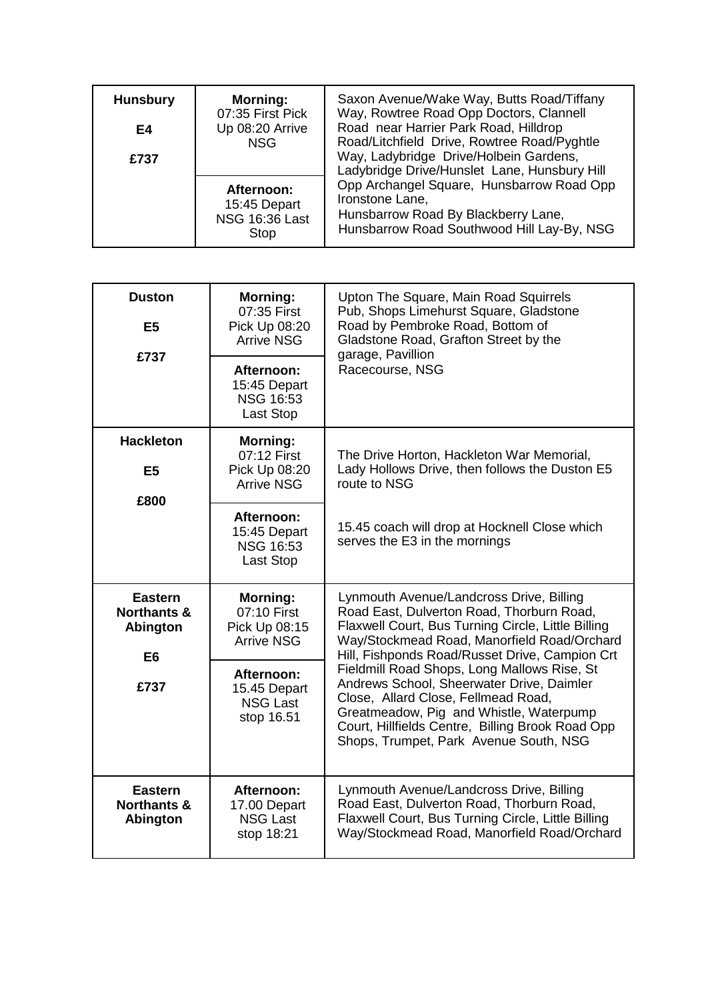| <b>Hunsbury</b><br>E4<br>£737 | <b>Morning:</b><br>07:35 First Pick<br>Up 08:20 Arrive<br><b>NSG</b> | Saxon Avenue/Wake Way, Butts Road/Tiffany<br>Way, Rowtree Road Opp Doctors, Clannell<br>Road near Harrier Park Road, Hilldrop<br>Road/Litchfield Drive, Rowtree Road/Pyghtle<br>Way, Ladybridge Drive/Holbein Gardens,<br>Ladybridge Drive/Hunslet Lane, Hunsbury Hill<br>Opp Archangel Square, Hunsbarrow Road Opp<br>Ironstone Lane,<br>Hunsbarrow Road By Blackberry Lane,<br>Hunsbarrow Road Southwood Hill Lay-By, NSG |
|-------------------------------|----------------------------------------------------------------------|-----------------------------------------------------------------------------------------------------------------------------------------------------------------------------------------------------------------------------------------------------------------------------------------------------------------------------------------------------------------------------------------------------------------------------|
|                               | Afternoon:<br>15:45 Depart<br><b>NSG 16:36 Last</b><br>Stop          |                                                                                                                                                                                                                                                                                                                                                                                                                             |

| <b>Duston</b><br>E5                                                           | <b>Morning:</b><br>07:35 First<br>Pick Up 08:20<br><b>Arrive NSG</b> | Upton The Square, Main Road Squirrels<br>Pub, Shops Limehurst Square, Gladstone<br>Road by Pembroke Road, Bottom of<br>Gladstone Road, Grafton Street by the<br>garage, Pavillion<br>Racecourse, NSG                                                                     |
|-------------------------------------------------------------------------------|----------------------------------------------------------------------|--------------------------------------------------------------------------------------------------------------------------------------------------------------------------------------------------------------------------------------------------------------------------|
| £737                                                                          | Afternoon:<br>15:45 Depart<br><b>NSG 16:53</b><br>Last Stop          |                                                                                                                                                                                                                                                                          |
| <b>Hackleton</b><br>E <sub>5</sub><br>£800                                    | <b>Morning:</b><br>07:12 First<br>Pick Up 08:20<br><b>Arrive NSG</b> | The Drive Horton, Hackleton War Memorial,<br>Lady Hollows Drive, then follows the Duston E5<br>route to NSG                                                                                                                                                              |
|                                                                               | <b>Afternoon:</b><br>15:45 Depart<br><b>NSG 16:53</b><br>Last Stop   | 15.45 coach will drop at Hocknell Close which<br>serves the E3 in the mornings                                                                                                                                                                                           |
| <b>Eastern</b><br><b>Northants &amp;</b><br><b>Abington</b><br>E <sub>6</sub> | <b>Morning:</b><br>07:10 First<br>Pick Up 08:15<br><b>Arrive NSG</b> | Lynmouth Avenue/Landcross Drive, Billing<br>Road East, Dulverton Road, Thorburn Road,<br>Flaxwell Court, Bus Turning Circle, Little Billing<br>Way/Stockmead Road, Manorfield Road/Orchard<br>Hill, Fishponds Road/Russet Drive, Campion Crt                             |
| £737                                                                          | Afternoon:<br>15.45 Depart<br><b>NSG Last</b><br>stop 16.51          | Fieldmill Road Shops, Long Mallows Rise, St<br>Andrews School, Sheerwater Drive, Daimler<br>Close, Allard Close, Fellmead Road,<br>Greatmeadow, Pig and Whistle, Waterpump<br>Court, Hillfields Centre, Billing Brook Road Opp<br>Shops, Trumpet, Park Avenue South, NSG |
| <b>Eastern</b><br><b>Northants &amp;</b><br>Abington                          | Afternoon:<br>17.00 Depart<br><b>NSG Last</b><br>stop 18:21          | Lynmouth Avenue/Landcross Drive, Billing<br>Road East, Dulverton Road, Thorburn Road,<br>Flaxwell Court, Bus Turning Circle, Little Billing<br>Way/Stockmead Road, Manorfield Road/Orchard                                                                               |